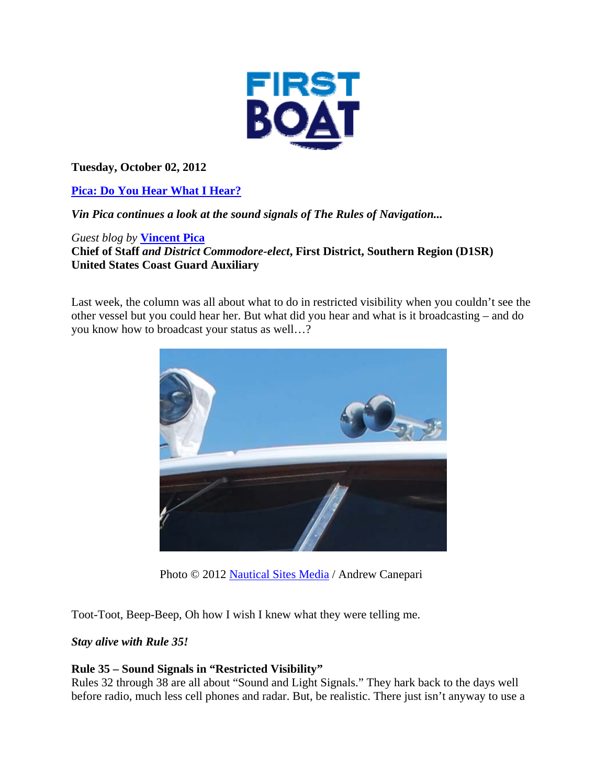

**Tuesday, October 02, 2012** 

**Pica: Do You Hear What I Hear?** 

*Vin Pica continues a look at the sound signals of The Rules of Navigation...* 

*Guest blog by* **Vincent Pica**

**Chief of Staff** *and District Commodore-elect***, First District, Southern Region (D1SR) United States Coast Guard Auxiliary**

Last week, the column was all about what to do in restricted visibility when you couldn't see the other vessel but you could hear her. But what did you hear and what is it broadcasting – and do you know how to broadcast your status as well…?



Photo © 2012 Nautical Sites Media / Andrew Canepari

Toot-Toot, Beep-Beep, Oh how I wish I knew what they were telling me.

## *Stay alive with Rule 35!*

## **Rule 35 – Sound Signals in "Restricted Visibility"**

Rules 32 through 38 are all about "Sound and Light Signals." They hark back to the days well before radio, much less cell phones and radar. But, be realistic. There just isn't anyway to use a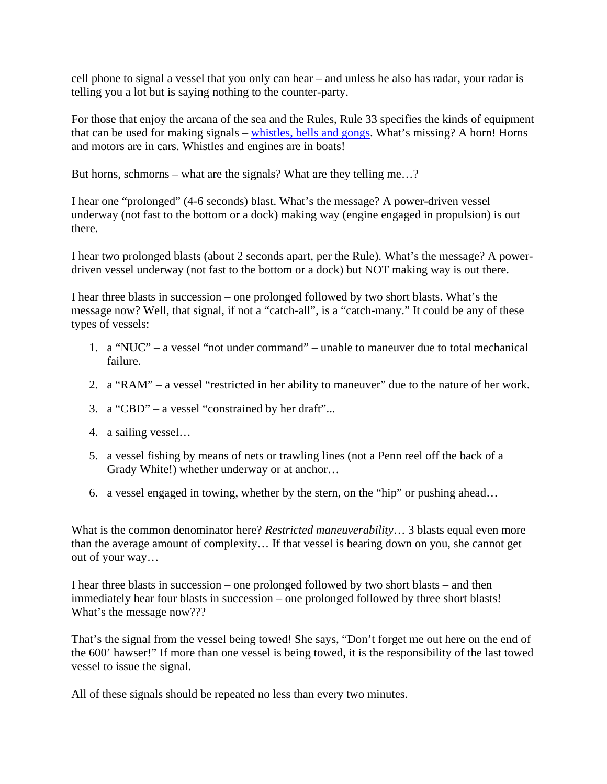cell phone to signal a vessel that you only can hear – and unless he also has radar, your radar is telling you a lot but is saying nothing to the counter-party.

For those that enjoy the arcana of the sea and the Rules, Rule 33 specifies the kinds of equipment that can be used for making signals – whistles, bells and gongs. What's missing? A horn! Horns and motors are in cars. Whistles and engines are in boats!

But horns, schmorns – what are the signals? What are they telling me…?

I hear one "prolonged" (4-6 seconds) blast. What's the message? A power-driven vessel underway (not fast to the bottom or a dock) making way (engine engaged in propulsion) is out there.

I hear two prolonged blasts (about 2 seconds apart, per the Rule). What's the message? A powerdriven vessel underway (not fast to the bottom or a dock) but NOT making way is out there.

I hear three blasts in succession – one prolonged followed by two short blasts. What's the message now? Well, that signal, if not a "catch-all", is a "catch-many." It could be any of these types of vessels:

- 1. a "NUC" a vessel "not under command" unable to maneuver due to total mechanical failure.
- 2. a "RAM" a vessel "restricted in her ability to maneuver" due to the nature of her work.
- 3. a "CBD" a vessel "constrained by her draft"...
- 4. a sailing vessel…
- 5. a vessel fishing by means of nets or trawling lines (not a Penn reel off the back of a Grady White!) whether underway or at anchor…
- 6. a vessel engaged in towing, whether by the stern, on the "hip" or pushing ahead…

What is the common denominator here? *Restricted maneuverability*… 3 blasts equal even more than the average amount of complexity… If that vessel is bearing down on you, she cannot get out of your way…

I hear three blasts in succession – one prolonged followed by two short blasts – and then immediately hear four blasts in succession – one prolonged followed by three short blasts! What's the message now???

That's the signal from the vessel being towed! She says, "Don't forget me out here on the end of the 600' hawser!" If more than one vessel is being towed, it is the responsibility of the last towed vessel to issue the signal.

All of these signals should be repeated no less than every two minutes.